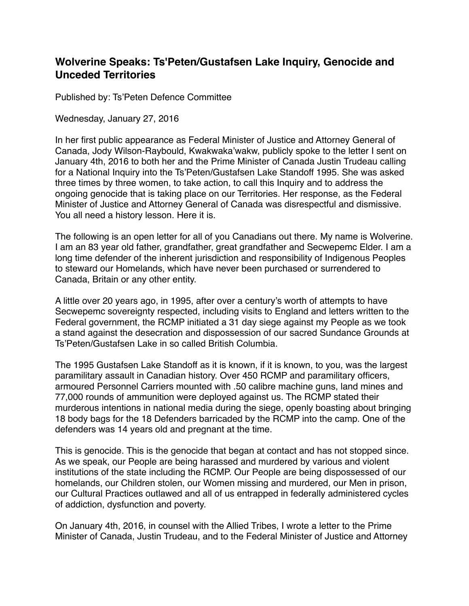## **Wolverine Speaks: Ts'Peten/Gustafsen Lake Inquiry, Genocide and Unceded Territories**

Published by: Ts'Peten Defence Committee

Wednesday, January 27, 2016

In her first public appearance as Federal Minister of Justice and Attorney General of Canada, Jody Wilson-Raybould, Kwakwaka'wakw, publicly spoke to the letter I sent on January 4th, 2016 to both her and the Prime Minister of Canada Justin Trudeau calling for a National Inquiry into the Ts'Peten/Gustafsen Lake Standoff 1995. She was asked three times by three women, to take action, to call this Inquiry and to address the ongoing genocide that is taking place on our Territories. Her response, as the Federal Minister of Justice and Attorney General of Canada was disrespectful and dismissive. You all need a history lesson. Here it is.

The following is an open letter for all of you Canadians out there. My name is Wolverine. I am an 83 year old father, grandfather, great grandfather and Secwepemc Elder. I am a long time defender of the inherent jurisdiction and responsibility of Indigenous Peoples to steward our Homelands, which have never been purchased or surrendered to Canada, Britain or any other entity.

A little over 20 years ago, in 1995, after over a century's worth of attempts to have Secwepemc sovereignty respected, including visits to England and letters written to the Federal government, the RCMP initiated a 31 day siege against my People as we took a stand against the desecration and dispossession of our sacred Sundance Grounds at Ts'Peten/Gustafsen Lake in so called British Columbia.

The 1995 Gustafsen Lake Standoff as it is known, if it is known, to you, was the largest paramilitary assault in Canadian history. Over 450 RCMP and paramilitary officers, armoured Personnel Carriers mounted with .50 calibre machine guns, land mines and 77,000 rounds of ammunition were deployed against us. The RCMP stated their murderous intentions in national media during the siege, openly boasting about bringing 18 body bags for the 18 Defenders barricaded by the RCMP into the camp. One of the defenders was 14 years old and pregnant at the time.

This is genocide. This is the genocide that began at contact and has not stopped since. As we speak, our People are being harassed and murdered by various and violent institutions of the state including the RCMP. Our People are being dispossessed of our homelands, our Children stolen, our Women missing and murdered, our Men in prison, our Cultural Practices outlawed and all of us entrapped in federally administered cycles of addiction, dysfunction and poverty.

On January 4th, 2016, in counsel with the Allied Tribes, I wrote a letter to the Prime Minister of Canada, Justin Trudeau, and to the Federal Minister of Justice and Attorney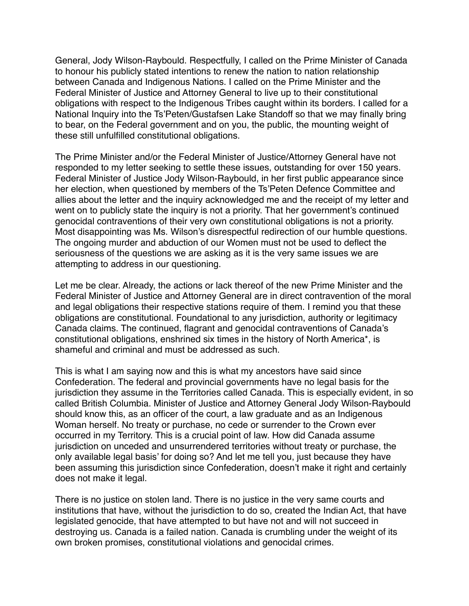General, Jody Wilson-Raybould. Respectfully, I called on the Prime Minister of Canada to honour his publicly stated intentions to renew the nation to nation relationship between Canada and Indigenous Nations. I called on the Prime Minister and the Federal Minister of Justice and Attorney General to live up to their constitutional obligations with respect to the Indigenous Tribes caught within its borders. I called for a National Inquiry into the Ts'Peten/Gustafsen Lake Standoff so that we may finally bring to bear, on the Federal government and on you, the public, the mounting weight of these still unfulfilled constitutional obligations.

The Prime Minister and/or the Federal Minister of Justice/Attorney General have not responded to my letter seeking to settle these issues, outstanding for over 150 years. Federal Minister of Justice Jody Wilson-Raybould, in her first public appearance since her election, when questioned by members of the Ts'Peten Defence Committee and allies about the letter and the inquiry acknowledged me and the receipt of my letter and went on to publicly state the inquiry is not a priority. That her government's continued genocidal contraventions of their very own constitutional obligations is not a priority. Most disappointing was Ms. Wilson's disrespectful redirection of our humble questions. The ongoing murder and abduction of our Women must not be used to deflect the seriousness of the questions we are asking as it is the very same issues we are attempting to address in our questioning.

Let me be clear. Already, the actions or lack thereof of the new Prime Minister and the Federal Minister of Justice and Attorney General are in direct contravention of the moral and legal obligations their respective stations require of them. I remind you that these obligations are constitutional. Foundational to any jurisdiction, authority or legitimacy Canada claims. The continued, flagrant and genocidal contraventions of Canada's constitutional obligations, enshrined six times in the history of North America\*, is shameful and criminal and must be addressed as such.

This is what I am saying now and this is what my ancestors have said since Confederation. The federal and provincial governments have no legal basis for the jurisdiction they assume in the Territories called Canada. This is especially evident, in so called British Columbia. Minister of Justice and Attorney General Jody Wilson-Raybould should know this, as an officer of the court, a law graduate and as an Indigenous Woman herself. No treaty or purchase, no cede or surrender to the Crown ever occurred in my Territory. This is a crucial point of law. How did Canada assume jurisdiction on unceded and unsurrendered territories without treaty or purchase, the only available legal basis' for doing so? And let me tell you, just because they have been assuming this jurisdiction since Confederation, doesn't make it right and certainly does not make it legal.

There is no justice on stolen land. There is no justice in the very same courts and institutions that have, without the jurisdiction to do so, created the Indian Act, that have legislated genocide, that have attempted to but have not and will not succeed in destroying us. Canada is a failed nation. Canada is crumbling under the weight of its own broken promises, constitutional violations and genocidal crimes.